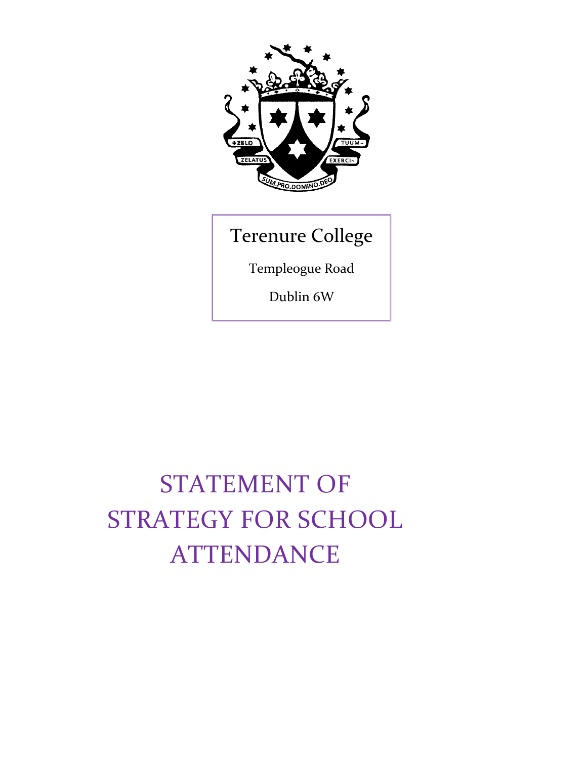

## Terenure College

Templeogue Road

Dublin 6W

# STATEMENT OF STRATEGY FOR SCHOOL **ATTENDANCE**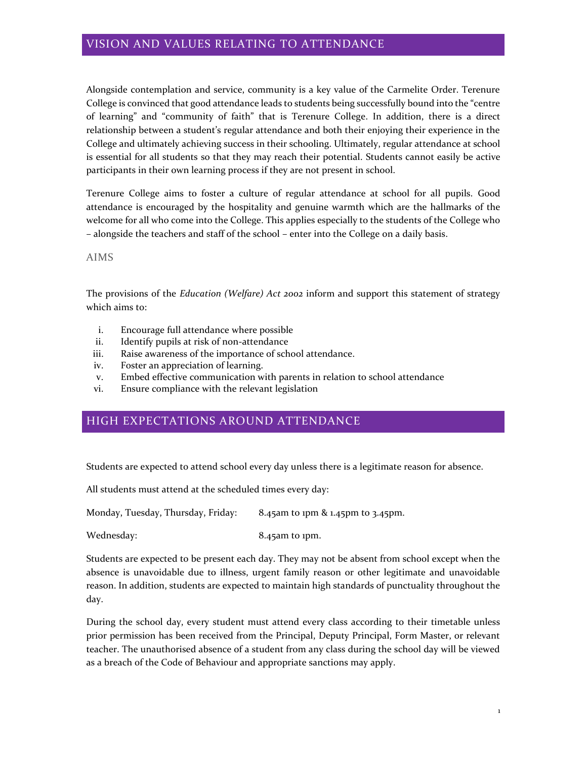## VISION AND VALUES RELATING TO ATTENDANCE

Alongside contemplation and service, community is a key value of the Carmelite Order. Terenure College is convinced that good attendance leads to students being successfully bound into the "centre of learning" and "community of faith" that is Terenure College. In addition, there is a direct relationship between a student's regular attendance and both their enjoying their experience in the College and ultimately achieving success in their schooling. Ultimately, regular attendance at school is essential for all students so that they may reach their potential. Students cannot easily be active participants in their own learning process if they are not present in school.

Terenure College aims to foster a culture of regular attendance at school for all pupils. Good attendance is encouraged by the hospitality and genuine warmth which are the hallmarks of the welcome for all who come into the College. This applies especially to the students of the College who – alongside the teachers and staff of the school – enter into the College on a daily basis.

#### AIMS

The provisions of the *Education (Welfare) Act 2002* inform and support this statement of strategy which aims to:

- i. Encourage full attendance where possible
- ii. Identify pupils at risk of non-attendance
- iii. Raise awareness of the importance of school attendance.
- iv. Foster an appreciation of learning.
- v. Embed effective communication with parents in relation to school attendance
- vi. Ensure compliance with the relevant legislation

## HIGH EXPECTATIONS AROUND ATTENDANCE

Students are expected to attend school every day unless there is a legitimate reason for absence.

All students must attend at the scheduled times every day:

Monday, Tuesday, Thursday, Friday: 8.45am to 1pm & 1.45pm to 3.45pm.

Wednesday: 8.45am to 1pm.

Students are expected to be present each day. They may not be absent from school except when the absence is unavoidable due to illness, urgent family reason or other legitimate and unavoidable reason. In addition, students are expected to maintain high standards of punctuality throughout the day.

During the school day, every student must attend every class according to their timetable unless prior permission has been received from the Principal, Deputy Principal, Form Master, or relevant teacher. The unauthorised absence of a student from any class during the school day will be viewed as a breach of the Code of Behaviour and appropriate sanctions may apply.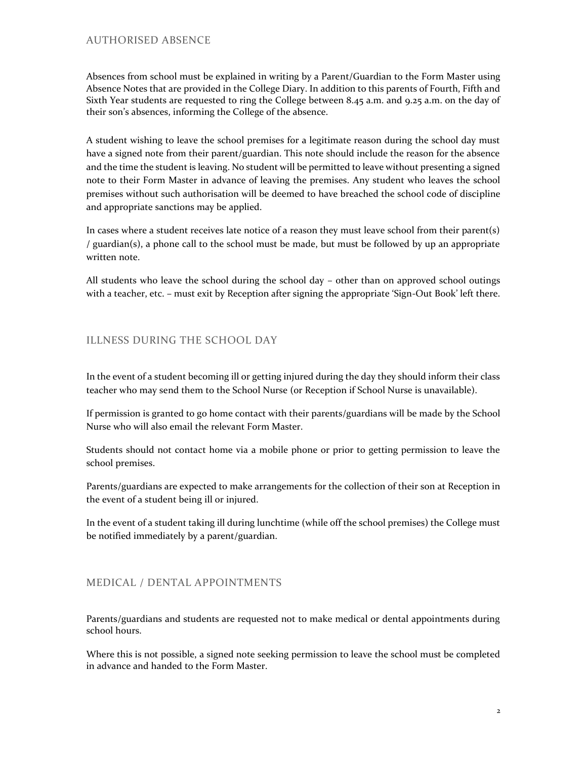## AUTHORISED ABSENCE

Absences from school must be explained in writing by a Parent/Guardian to the Form Master using Absence Notes that are provided in the College Diary. In addition to this parents of Fourth, Fifth and Sixth Year students are requested to ring the College between 8.45 a.m. and 9.25 a.m. on the day of their son's absences, informing the College of the absence.

A student wishing to leave the school premises for a legitimate reason during the school day must have a signed note from their parent/guardian. This note should include the reason for the absence and the time the student is leaving. No student will be permitted to leave without presenting a signed note to their Form Master in advance of leaving the premises. Any student who leaves the school premises without such authorisation will be deemed to have breached the school code of discipline and appropriate sanctions may be applied.

In cases where a student receives late notice of a reason they must leave school from their parent(s) / guardian(s), a phone call to the school must be made, but must be followed by up an appropriate written note.

All students who leave the school during the school day – other than on approved school outings with a teacher, etc. – must exit by Reception after signing the appropriate 'Sign-Out Book' left there.

## ILLNESS DURING THE SCHOOL DAY

In the event of a student becoming ill or getting injured during the day they should inform their class teacher who may send them to the School Nurse (or Reception if School Nurse is unavailable).

If permission is granted to go home contact with their parents/guardians will be made by the School Nurse who will also email the relevant Form Master.

Students should not contact home via a mobile phone or prior to getting permission to leave the school premises.

Parents/guardians are expected to make arrangements for the collection of their son at Reception in the event of a student being ill or injured.

In the event of a student taking ill during lunchtime (while off the school premises) the College must be notified immediately by a parent/guardian.

## MEDICAL / DENTAL APPOINTMENTS

Parents/guardians and students are requested not to make medical or dental appointments during school hours.

Where this is not possible, a signed note seeking permission to leave the school must be completed in advance and handed to the Form Master.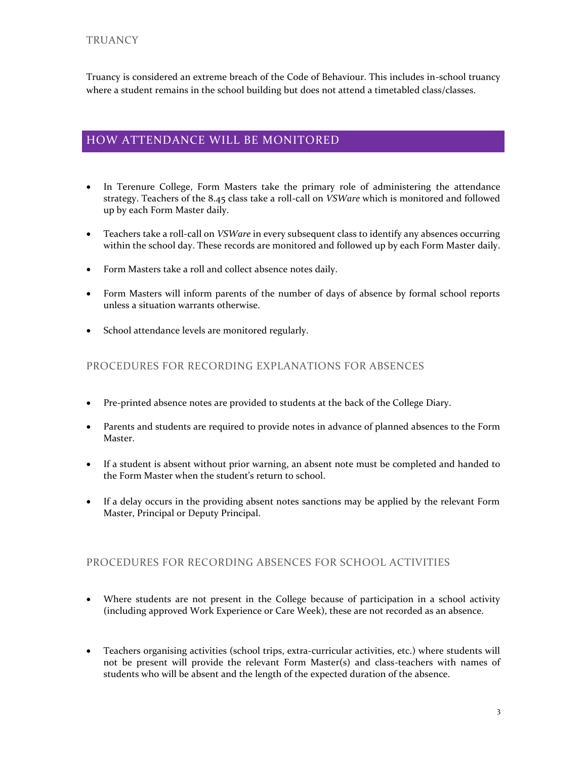Truancy is considered an extreme breach of the Code of Behaviour. This includes in-school truancy where a student remains in the school building but does not attend a timetabled class/classes.

## HOW ATTENDANCE WILL BE MONITORED

- In Terenure College, Form Masters take the primary role of administering the attendance strategy. Teachers of the 8.45 class take a roll-call on *VSWare* which is monitored and followed up by each Form Master daily.
- Teachers take a roll-call on *VSWare* in every subsequent class to identify any absences occurring within the school day. These records are monitored and followed up by each Form Master daily.
- Form Masters take a roll and collect absence notes daily.
- Form Masters will inform parents of the number of days of absence by formal school reports unless a situation warrants otherwise.
- School attendance levels are monitored regularly.

## PROCEDURES FOR RECORDING EXPLANATIONS FOR ABSENCES

- Pre-printed absence notes are provided to students at the back of the College Diary.
- Parents and students are required to provide notes in advance of planned absences to the Form Master.
- If a student is absent without prior warning, an absent note must be completed and handed to the Form Master when the student's return to school.
- If a delay occurs in the providing absent notes sanctions may be applied by the relevant Form Master, Principal or Deputy Principal.

### PROCEDURES FOR RECORDING ABSENCES FOR SCHOOL ACTIVITIES

- Where students are not present in the College because of participation in a school activity (including approved Work Experience or Care Week), these are not recorded as an absence.
- Teachers organising activities (school trips, extra-curricular activities, etc.) where students will not be present will provide the relevant Form Master(s) and class-teachers with names of students who will be absent and the length of the expected duration of the absence.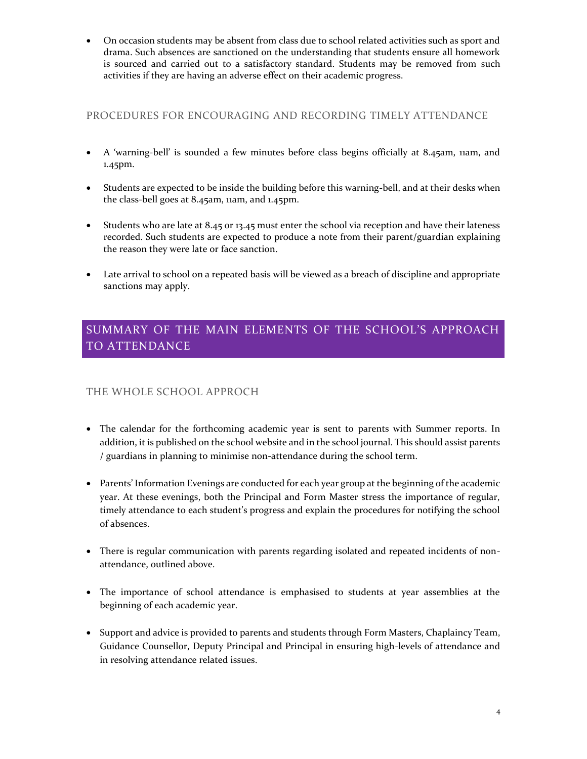• On occasion students may be absent from class due to school related activities such as sport and drama. Such absences are sanctioned on the understanding that students ensure all homework is sourced and carried out to a satisfactory standard. Students may be removed from such activities if they are having an adverse effect on their academic progress.

## PROCEDURES FOR ENCOURAGING AND RECORDING TIMELY ATTENDANCE

- A 'warning-bell' is sounded a few minutes before class begins officially at 8.45am, 11am, and 1.45pm.
- Students are expected to be inside the building before this warning-bell, and at their desks when the class-bell goes at 8.45am, 11am, and 1.45pm.
- Students who are late at 8.45 or 13.45 must enter the school via reception and have their lateness recorded. Such students are expected to produce a note from their parent/guardian explaining the reason they were late or face sanction.
- Late arrival to school on a repeated basis will be viewed as a breach of discipline and appropriate sanctions may apply.

## SUMMARY OF THE MAIN ELEMENTS OF THE SCHOOL'S APPROACH TO ATTENDANCE

## THE WHOLE SCHOOL APPROCH

- The calendar for the forthcoming academic year is sent to parents with Summer reports. In addition, it is published on the school website and in the school journal. This should assist parents / guardians in planning to minimise non-attendance during the school term.
- Parents' Information Evenings are conducted for each year group at the beginning of the academic year. At these evenings, both the Principal and Form Master stress the importance of regular, timely attendance to each student's progress and explain the procedures for notifying the school of absences.
- There is regular communication with parents regarding isolated and repeated incidents of nonattendance, outlined above.
- The importance of school attendance is emphasised to students at year assemblies at the beginning of each academic year.
- Support and advice is provided to parents and students through Form Masters, Chaplaincy Team, Guidance Counsellor, Deputy Principal and Principal in ensuring high-levels of attendance and in resolving attendance related issues.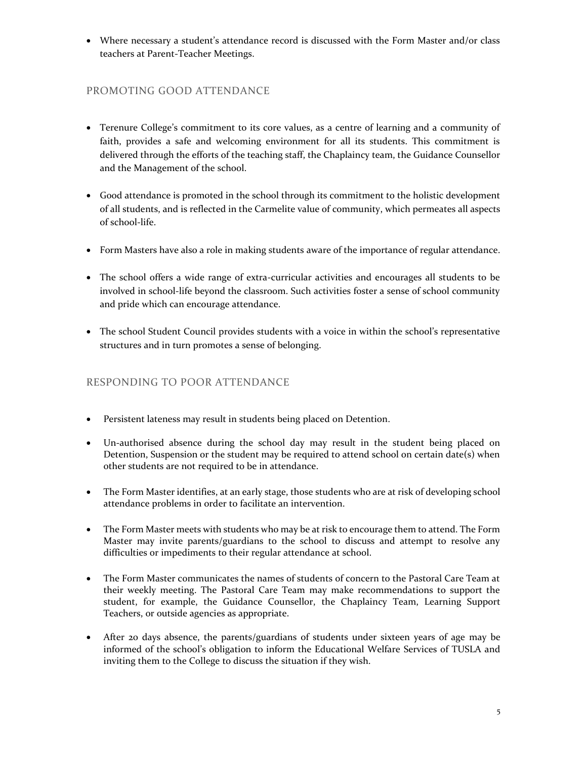• Where necessary a student's attendance record is discussed with the Form Master and/or class teachers at Parent-Teacher Meetings.

## PROMOTING GOOD ATTENDANCE

- Terenure College's commitment to its core values, as a centre of learning and a community of faith, provides a safe and welcoming environment for all its students. This commitment is delivered through the efforts of the teaching staff, the Chaplaincy team, the Guidance Counsellor and the Management of the school.
- Good attendance is promoted in the school through its commitment to the holistic development of all students, and is reflected in the Carmelite value of community, which permeates all aspects of school-life.
- Form Masters have also a role in making students aware of the importance of regular attendance.
- The school offers a wide range of extra-curricular activities and encourages all students to be involved in school-life beyond the classroom. Such activities foster a sense of school community and pride which can encourage attendance.
- The school Student Council provides students with a voice in within the school's representative structures and in turn promotes a sense of belonging.

## RESPONDING TO POOR ATTENDANCE

- Persistent lateness may result in students being placed on Detention.
- Un-authorised absence during the school day may result in the student being placed on Detention, Suspension or the student may be required to attend school on certain date(s) when other students are not required to be in attendance.
- The Form Master identifies, at an early stage, those students who are at risk of developing school attendance problems in order to facilitate an intervention.
- The Form Master meets with students who may be at risk to encourage them to attend. The Form Master may invite parents/guardians to the school to discuss and attempt to resolve any difficulties or impediments to their regular attendance at school.
- The Form Master communicates the names of students of concern to the Pastoral Care Team at their weekly meeting. The Pastoral Care Team may make recommendations to support the student, for example, the Guidance Counsellor, the Chaplaincy Team, Learning Support Teachers, or outside agencies as appropriate.
- After 20 days absence, the parents/guardians of students under sixteen years of age may be informed of the school's obligation to inform the Educational Welfare Services of TUSLA and inviting them to the College to discuss the situation if they wish.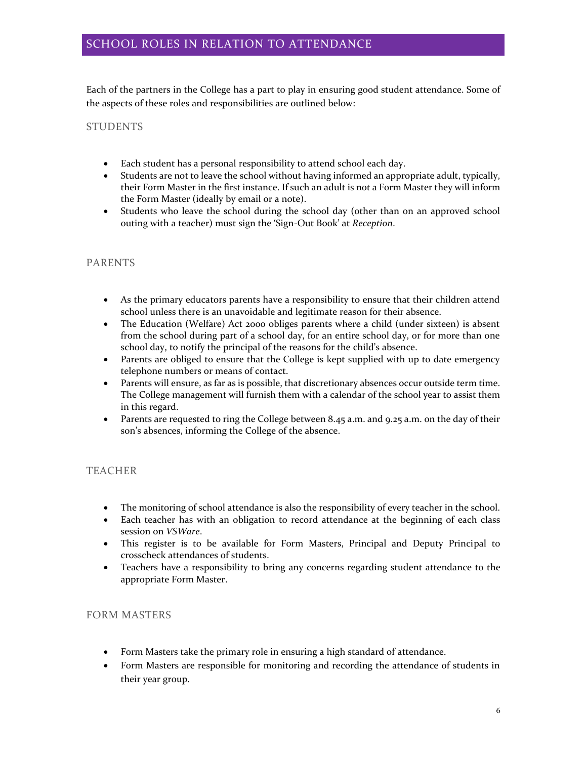Each of the partners in the College has a part to play in ensuring good student attendance. Some of the aspects of these roles and responsibilities are outlined below:

## STUDENTS

- Each student has a personal responsibility to attend school each day.
- Students are not to leave the school without having informed an appropriate adult, typically, their Form Master in the first instance. If such an adult is not a Form Master they will inform the Form Master (ideally by email or a note).
- Students who leave the school during the school day (other than on an approved school outing with a teacher) must sign the 'Sign-Out Book' at *Reception*.

## PARENTS

- As the primary educators parents have a responsibility to ensure that their children attend school unless there is an unavoidable and legitimate reason for their absence.
- The Education (Welfare) Act 2000 obliges parents where a child (under sixteen) is absent from the school during part of a school day, for an entire school day, or for more than one school day, to notify the principal of the reasons for the child's absence.
- Parents are obliged to ensure that the College is kept supplied with up to date emergency telephone numbers or means of contact.
- Parents will ensure, as far as is possible, that discretionary absences occur outside term time. The College management will furnish them with a calendar of the school year to assist them in this regard.
- Parents are requested to ring the College between  $8.45$  a.m. and  $9.25$  a.m. on the day of their son's absences, informing the College of the absence.

## TEACHER

- The monitoring of school attendance is also the responsibility of every teacher in the school.
- Each teacher has with an obligation to record attendance at the beginning of each class session on *VSWare*.
- This register is to be available for Form Masters, Principal and Deputy Principal to crosscheck attendances of students.
- Teachers have a responsibility to bring any concerns regarding student attendance to the appropriate Form Master.

### FORM MASTERS

- Form Masters take the primary role in ensuring a high standard of attendance.
- Form Masters are responsible for monitoring and recording the attendance of students in their year group.